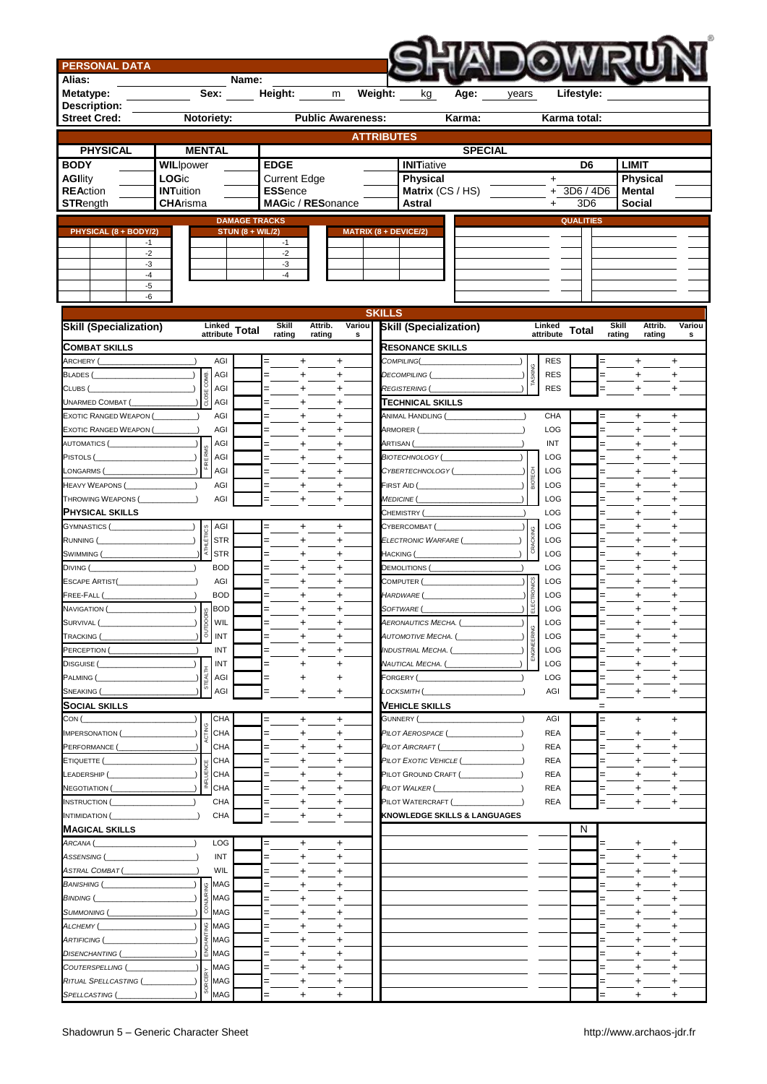| <b>PERSONAL DATA</b>                      |                       |                             |                     |                          |                              |                                                   |                                         |               |                     |                  |                 |                  |                        |
|-------------------------------------------|-----------------------|-----------------------------|---------------------|--------------------------|------------------------------|---------------------------------------------------|-----------------------------------------|---------------|---------------------|------------------|-----------------|------------------|------------------------|
| Alias:                                    |                       | Name:<br>Sex:               | Height:             |                          | Weight:                      |                                                   |                                         |               |                     | Lifestyle:       |                 |                  |                        |
| Metatype:<br><b>Description:</b>          |                       |                             |                     | m                        |                              | kg                                                | Age:                                    | years         |                     |                  |                 |                  |                        |
| <b>Street Cred:</b>                       |                       | Notoriety:                  |                     | <b>Public Awareness:</b> |                              |                                                   | Karma:                                  |               |                     | Karma total:     |                 |                  |                        |
|                                           |                       |                             |                     |                          | <b>ATTRIBUTES</b>            |                                                   |                                         |               |                     |                  |                 |                  |                        |
| <b>PHYSICAL</b>                           | <b>MENTAL</b>         |                             |                     |                          |                              |                                                   | <b>SPECIAL</b>                          |               |                     |                  |                 |                  |                        |
| <b>BODY</b>                               | WILlpower             |                             | <b>EDGE</b>         |                          |                              | <b>INITiative</b>                                 |                                         |               |                     | D <sub>6</sub>   |                 | <b>LIMIT</b>     |                        |
| <b>AGIlity</b>                            | <b>LOGic</b>          |                             | <b>Current Edge</b> |                          |                              | Physical                                          |                                         |               | +                   |                  |                 | <b>Physical</b>  |                        |
| <b>REAction</b>                           | <b>INTuition</b>      |                             | <b>ESSence</b>      |                          |                              | Matrix (CS / HS)                                  |                                         |               |                     | 3D6/4D6          |                 | <b>Mental</b>    |                        |
| <b>STRength</b>                           | <b>CHArisma</b>       |                             |                     | <b>MAGic / RESonance</b> |                              | <b>Astral</b>                                     |                                         |               | $\ddot{}$           | 3D <sub>6</sub>  |                 | <b>Social</b>    |                        |
|                                           |                       | <b>DAMAGE TRACKS</b>        |                     |                          |                              |                                                   |                                         |               |                     | <b>QUALITIES</b> |                 |                  |                        |
| PHYSICAL (8 + BODY/2)<br>$-1$             |                       | <b>STUN (8 + WIL/2)</b>     | $-1$                |                          | <b>MATRIX (8 + DEVICE/2)</b> |                                                   |                                         |               |                     |                  |                 |                  |                        |
| $-2$                                      |                       |                             | $-2$                |                          |                              |                                                   |                                         |               |                     |                  |                 |                  |                        |
| $-3$<br>$-4$                              |                       |                             | $-3$<br>$-4$        |                          |                              |                                                   |                                         |               |                     |                  |                 |                  |                        |
| $-5$                                      |                       |                             |                     |                          |                              |                                                   |                                         |               |                     |                  |                 |                  |                        |
| -6                                        |                       |                             |                     |                          |                              |                                                   |                                         |               |                     |                  |                 |                  |                        |
|                                           |                       |                             |                     |                          | <b>SKILLS</b>                |                                                   |                                         |               |                     |                  |                 |                  |                        |
| <b>Skill (Specialization)</b>             |                       | Linked<br>attribute Total   | Skill<br>rating     | Attrib.<br>rating        | Variou                       | <b>Skill (Specialization)</b>                     |                                         |               | Linked<br>attribute | <b>Total</b>     | Skill<br>rating | Attrib.          | Variou                 |
| <b>COMBAT SKILLS</b>                      |                       |                             |                     |                          | s                            | <b>RESONANCE SKILLS</b>                           |                                         |               |                     |                  |                 | rating           | s                      |
| ARCHERY (                                 |                       | AGI                         | $+$                 | $+$                      |                              | <b>COMPILING(</b>                                 |                                         |               | <b>RES</b>          |                  |                 |                  | $+$                    |
| BLADES (                                  | ı gʻ                  | AGI                         | $+$                 | $\ddot{}$                |                              | <b>DECOMPILING (</b>                              |                                         | <b>SKING</b>  | <b>RES</b>          |                  |                 | $+$ $-$          | $\ddot{}$              |
| CLUBS (                                   |                       | AGI                         | $\ddot{}$           | $\ddot{}$                |                              | REGISTERING (                                     |                                         |               | <b>RES</b>          |                  | $=$             | $+$              | $\ddot{}$              |
| <b>UNARMED COMBAT (</b>                   |                       | AGI                         | +                   | +                        |                              | <b>TECHNICAL SKILLS</b>                           |                                         |               |                     |                  |                 |                  |                        |
| <b>EXOTIC RANGED WEAPON (</b>             |                       | AGI                         |                     | $\ddot{}$                |                              | ANIMAL HANDLING (                                 |                                         |               | CHA                 |                  |                 | $\ddot{}$        | +                      |
| EXOTIC RANGED WEAPON (                    |                       | AGI                         | $+$                 | $\ddot{}$                |                              |                                                   |                                         | $\rightarrow$ | LOG                 |                  | $=$             | $\ddot{}$        | $\ddot{}$              |
| AUTOMATICS (                              |                       | AGI                         | $\ddot{}$           | $\ddot{}$                |                              | ARTISAN (                                         |                                         |               | INT                 |                  | $=$             | $+$              | $\ddot{}$              |
| PISTOLS (                                 | $\tilde{\alpha}$<br>눈 | AGI                         | $\ddot{}$           | $\ddot{}$                |                              |                                                   | BIOTECHNOLOGY (                         |               | LOG                 |                  | $=$             | $\ddot{}$        | $\ddot{}$              |
| LONGARMS (                                |                       | AGI                         |                     | +                        |                              | CYBERTECHNOLOGY (                                 |                                         | вютесн        | LOG                 |                  |                 |                  | +                      |
| HEAVY WEAPONS (<br>THROWING WEAPONS (     |                       | AGI<br>AGI                  | $+$                 | +<br>$\ddot{}$           |                              | FIRST AID (<br><i>MEDICINE</i> (                  |                                         |               | LOG<br>LOG          |                  |                 | $\ddot{}$<br>$+$ | $\ddot{}$<br>$\ddot{}$ |
| <b>PHYSICAL SKILLS</b>                    |                       |                             |                     |                          |                              | CHEMISTRY (                                       |                                         |               | LOG                 |                  |                 | +                | +                      |
| GYMNASTICS (                              |                       | AGI                         | +                   | $\ddot{}$                |                              | CYBERCOMBAT (                                     |                                         |               | LOG                 |                  | $=$             | $\ddot{}$        | +                      |
| RUNNING (                                 | <b>ETIICS</b>         | <b>STR</b>                  | $+$                 | +                        |                              | ELECTRONIC WARFARE (                              |                                         | $\frac{6}{2}$ | LOG                 |                  |                 |                  | +                      |
| SWIMMING (                                |                       | <b>STR</b>                  | $\ddot{}$           | +                        |                              | HACKING (                                         |                                         | CRACK         | LOG                 |                  |                 | +                | +                      |
| DIVING (                                  |                       | <b>BOD</b>                  | $\ddot{}$           | +                        |                              | <b>DEMOLITIONS (</b>                              |                                         |               | LOG                 |                  |                 | $+$              | +                      |
| ESCAPE ARTIST(_________________           |                       | AGI                         | $\ddot{}$           | $\ddot{}$                |                              | COMPUTER (                                        |                                         | 4CS           | LOG                 |                  | $=$             | $+$              | $\ddot{}$              |
| FREE-FALL (                               |                       | <b>BOD</b>                  | +                   | +                        |                              | HARDWARE (                                        |                                         | ELECTRO       | LOG                 |                  |                 | +                | +                      |
| NAVIGATION (                              |                       | ⊗ BOD<br>$\frac{1}{2}$ will |                     | $\ddot{}$                |                              | SOFTWARE <sup>(</sup>                             |                                         |               | LOG                 |                  |                 |                  | +                      |
| SURVIVAL (                                | OUTD                  |                             |                     |                          |                              | AERONAUTICS MECHA. (                              |                                         | ERING         | LOG                 |                  |                 |                  |                        |
| <b>TRACKING</b> (<br>PERCEPTION (         |                       | INT<br>INT                  | +                   | +                        |                              | AUTOMOTIVE MECHA. (<br><b>INDUSTRIAL MECHA.</b> ( |                                         |               | LOG<br>LOG          |                  | =               | +                | $\ddot{}$              |
| DISGUISE (                                |                       | INT                         | +<br>$=$<br>+       | +<br>+                   |                              | NAUTICAL MECHA. (                                 |                                         | ENGINE        | LOG                 |                  |                 | +                | +<br>+                 |
| PALMING (                                 | <b>EALTH</b>          | AGI                         | +                   | +                        |                              | FORGERY (                                         |                                         |               | LOG                 |                  |                 |                  | +                      |
| SNEAKING (                                |                       | AGI                         | +                   | +                        |                              | LOCKSMITH(                                        |                                         |               | AGI                 |                  | $=$             | +                | +                      |
| <b>SOCIAL SKILLS</b>                      |                       |                             |                     |                          |                              | VEHICLE SKILLS                                    |                                         |               |                     |                  | $=$             |                  |                        |
| CON (_                                    |                       | <b>CHA</b>                  | +                   | +                        |                              | GUNNERY (                                         |                                         |               | AGI                 |                  | $=$             | $\ddot{}$        | +                      |
| <b>IMPERSONATION</b> (                    |                       | <b>CHA</b>                  |                     | +                        |                              | PILOT AEROSPACE (                                 |                                         |               | <b>REA</b>          |                  |                 |                  | +                      |
| PERFORMANCE (                             |                       | CHA                         |                     | +                        |                              | PILOT AIRCRAFT (                                  |                                         |               | <b>REA</b>          |                  |                 |                  | +                      |
| ETIQUETTE (                               |                       | <b>CHA</b>                  | +                   | +                        |                              | PILOT EXOTIC VEHICLE (                            |                                         |               | <b>REA</b>          |                  |                 | +                | +                      |
| LEADERSHIP (                              | ž                     | CHA                         | +                   | $\ddot{}$                |                              | PILOT GROUND CRAFT (                              |                                         |               | REA                 |                  |                 |                  | $+$                    |
| NEGOTIATION (<br><b>INSTRUCTION (</b>     |                       | CHA<br>CHA                  | ٠.                  | $+$                      |                              | PILOT WALKER (<br>PILOT WATERCRAFT (              |                                         |               | REA<br><b>REA</b>   |                  |                 |                  | $^+$ .                 |
| INTIMIDATION (                            |                       | CHA                         | $\ddot{}$           | +                        |                              |                                                   | <b>KNOWLEDGE SKILLS &amp; LANGUAGES</b> |               |                     |                  |                 |                  |                        |
| <b>MAGICAL SKILLS</b>                     |                       |                             |                     |                          |                              |                                                   |                                         |               |                     | N                |                 |                  |                        |
| ARCANA (                                  |                       | LOG                         | +                   | $\ddot{}$                |                              |                                                   |                                         |               |                     |                  |                 | +                | $\ddot{}$              |
| ASSENSING (                               |                       | INT                         |                     | +                        |                              |                                                   |                                         |               |                     |                  |                 |                  | +                      |
| ASTRAL COMBAT (                           |                       | WIL                         | ٠                   | +                        |                              |                                                   |                                         |               |                     |                  |                 |                  |                        |
| <b>BANISHING (</b>                        |                       | g MAG                       | +                   | +                        |                              |                                                   |                                         |               |                     |                  |                 | +                | +                      |
| Binding (_                                |                       | MAG                         | +                   | +                        |                              |                                                   |                                         |               |                     |                  |                 | +                | +                      |
| SUMMONING (                               |                       | $8\mu$ <sub>MAG</sub>       | +                   | +                        |                              |                                                   |                                         |               |                     |                  |                 | +                | +                      |
| ALCHEMY (                                 |                       | $9$ MAG                     |                     |                          |                              |                                                   |                                         |               |                     |                  |                 |                  |                        |
| ARTIFICING (                              |                       | <b>MAG</b>                  |                     | +                        |                              |                                                   |                                         |               |                     |                  |                 |                  | +                      |
| <b>DISENCHANTING (</b>                    |                       | នី MAG                      | $\ddot{}$           | +                        |                              |                                                   |                                         |               |                     |                  |                 | +                | +                      |
| COUTERSPELLING (<br>RITUAL SPELLCASTING ( |                       | MAG<br>MAG                  | +                   | +                        |                              |                                                   |                                         |               |                     |                  |                 | $^+$             | $\ddot{}$              |
| SPELLCASTING (                            |                       | <b>MAG</b>                  | $\ddot{}$           | $\ddot{}$                |                              |                                                   |                                         |               |                     |                  |                 | $\ddot{}$        | $^+$                   |
|                                           |                       |                             |                     |                          |                              |                                                   |                                         |               |                     |                  |                 |                  |                        |

.®

 $\blacktriangle$  .